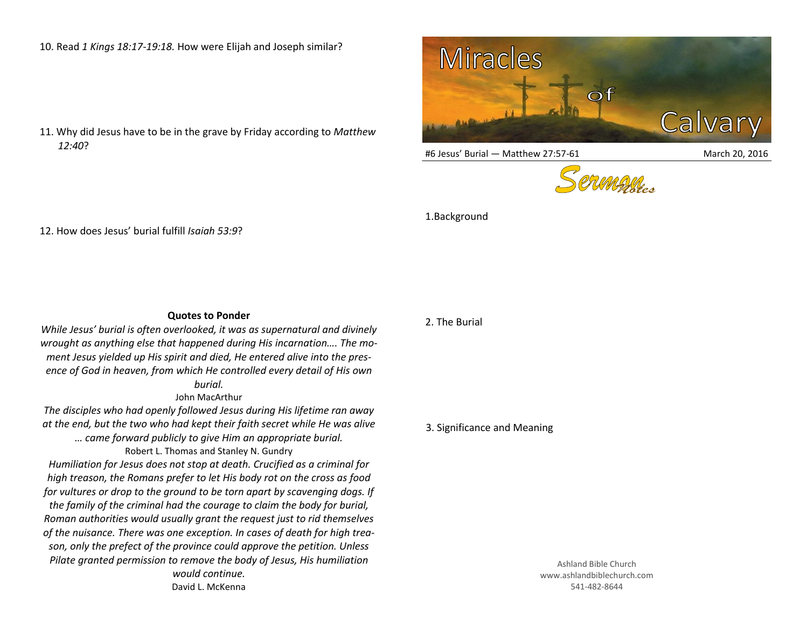10. Read *1 Kings 18:17-19:18.* How were Elijah and Joseph similar?

11. Why did Jesus have to be in the grave by Friday according to *Matthew 12:40*?



#6 Jesus' Burial — Matthew 27:57-61 March 20, 2016





1.Background

12. How does Jesus' burial fulfill *Isaiah 53:9*?

## **Quotes to Ponder**

*While Jesus' burial is often overlooked, it was as supernatural and divinely wrought as anything else that happened during His incarnation…. The moment Jesus yielded up His spirit and died, He entered alive into the presence of God in heaven, from which He controlled every detail of His own burial.*

## John MacArthur

*The disciples who had openly followed Jesus during His lifetime ran away at the end, but the two who had kept their faith secret while He was alive* 

*… came forward publicly to give Him an appropriate burial.*

Robert L. Thomas and Stanley N. Gundry

*Humiliation for Jesus does not stop at death. Crucified as a criminal for high treason, the Romans prefer to let His body rot on the cross as food for vultures or drop to the ground to be torn apart by scavenging dogs. If the family of the criminal had the courage to claim the body for burial, Roman authorities would usually grant the request just to rid themselves of the nuisance. There was one exception. In cases of death for high treason, only the prefect of the province could approve the petition. Unless Pilate granted permission to remove the body of Jesus, His humiliation would continue.*

David L. McKenna

## 2. The Burial

## 3. Significance and Meaning

Ashland Bible Church www.ashlandbiblechurch.com 541-482-8644